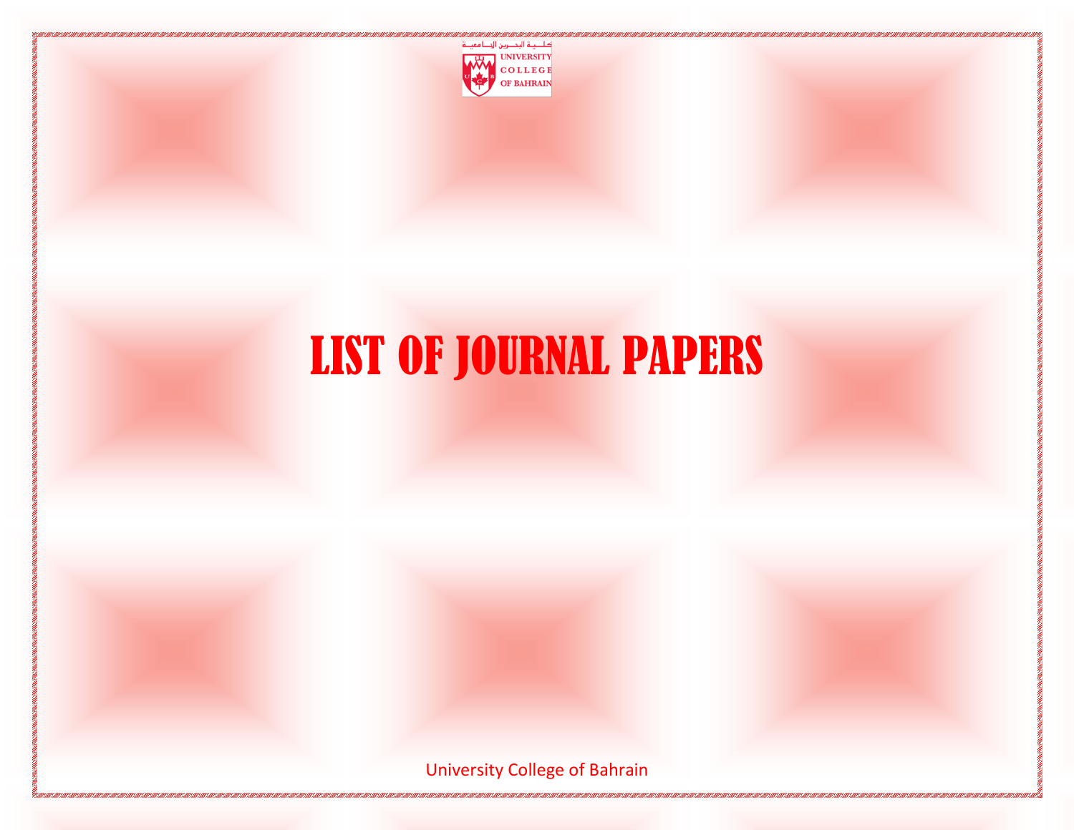

# LIST OF JOURNAL PAPERS

University College of Bahrain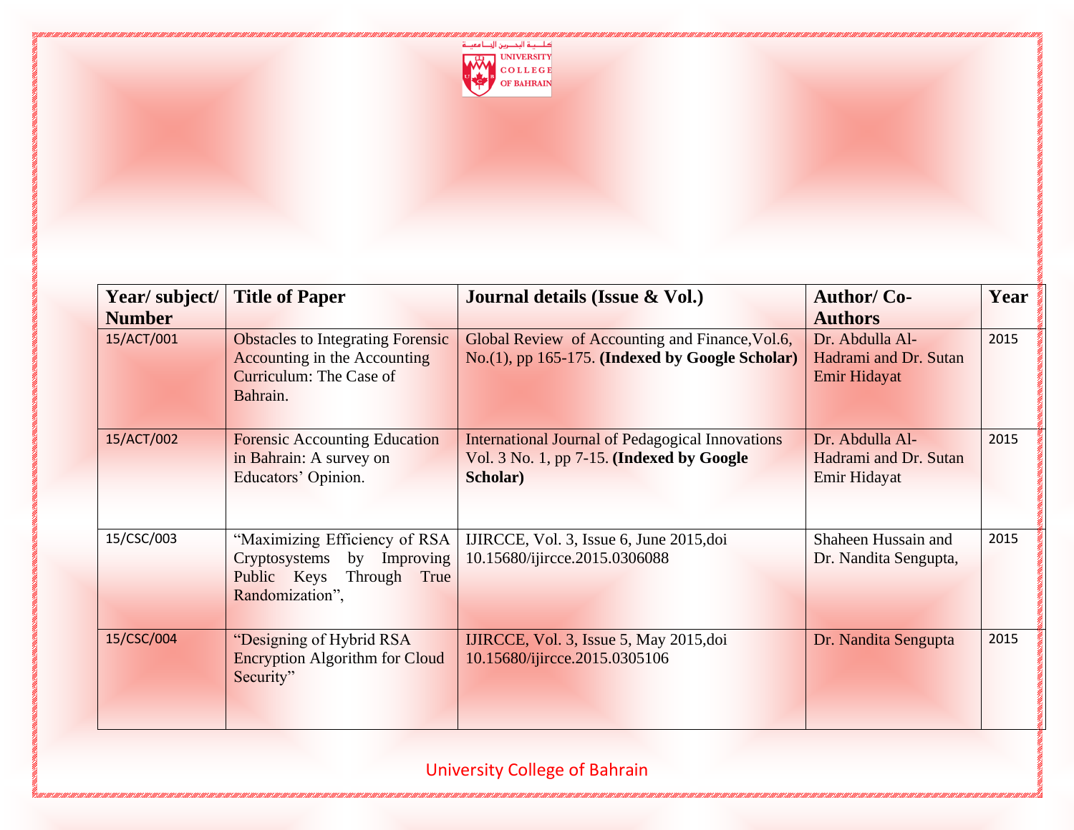

| Year/subject/ | <b>Title of Paper</b>                                                                                                         | Journal details (Issue & Vol.)                                                                                   | <b>Author/Co-</b>                                        | Year |
|---------------|-------------------------------------------------------------------------------------------------------------------------------|------------------------------------------------------------------------------------------------------------------|----------------------------------------------------------|------|
| <b>Number</b> |                                                                                                                               |                                                                                                                  | <b>Authors</b>                                           |      |
| 15/ACT/001    | <b>Obstacles to Integrating Forensic</b><br><b>Accounting in the Accounting</b><br><b>Curriculum: The Case of</b><br>Bahrain. | Global Review of Accounting and Finance, Vol.6,<br>No.(1), pp 165-175. (Indexed by Google Scholar)               | Dr. Abdulla Al-<br>Hadrami and Dr. Sutan<br>Emir Hidayat | 2015 |
| 15/ACT/002    | <b>Forensic Accounting Education</b><br>in Bahrain: A survey on<br>Educators' Opinion.                                        | <b>International Journal of Pedagogical Innovations</b><br>Vol. 3 No. 1, pp 7-15. (Indexed by Google<br>Scholar) | Dr. Abdulla Al-<br>Hadrami and Dr. Sutan<br>Emir Hidayat | 2015 |
| 15/CSC/003    | "Maximizing Efficiency of RSA<br>by Improving<br>Cryptosystems<br>Public Keys<br>Through True<br>Randomization",              | IJIRCCE, Vol. 3, Issue 6, June 2015, doi<br>10.15680/ijircce.2015.0306088                                        | Shaheen Hussain and<br>Dr. Nandita Sengupta,             | 2015 |
| 15/CSC/004    | "Designing of Hybrid RSA<br><b>Encryption Algorithm for Cloud</b><br>Security"                                                | IJIRCCE, Vol. 3, Issue 5, May 2015, doi<br>10.15680/ijircce.2015.0305106                                         | Dr. Nandita Sengupta                                     | 2015 |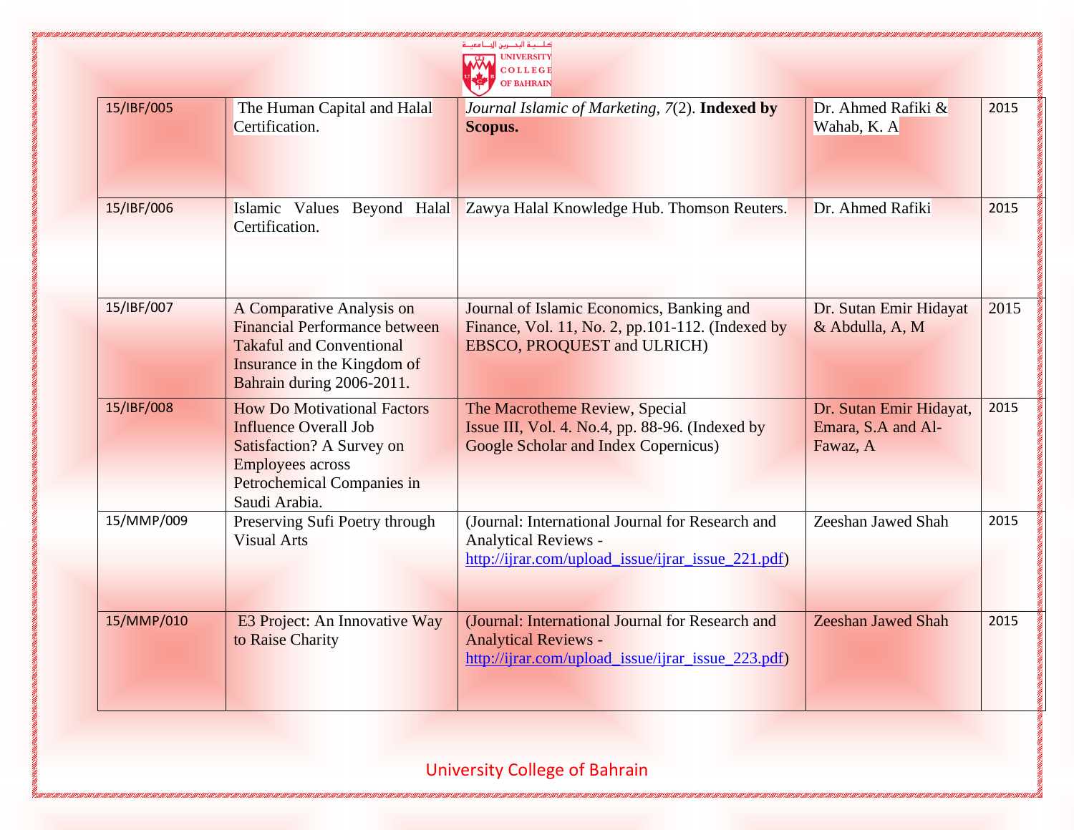|            |                                                                                                                                                                           | كاجية البحصرين الجنامعينة<br><b>UNIVERSITY</b><br>COLLEGE<br><b>OF BAHRAIN</b>                                                        |                                                           |      |
|------------|---------------------------------------------------------------------------------------------------------------------------------------------------------------------------|---------------------------------------------------------------------------------------------------------------------------------------|-----------------------------------------------------------|------|
| 15/IBF/005 | The Human Capital and Halal<br>Certification.                                                                                                                             | Journal Islamic of Marketing, 7(2). Indexed by<br>Scopus.                                                                             | Dr. Ahmed Rafiki $\&$<br>Wahab, K. A                      | 2015 |
| 15/IBF/006 | Islamic Values Beyond Halal<br>Certification.                                                                                                                             | Zawya Halal Knowledge Hub. Thomson Reuters.                                                                                           | Dr. Ahmed Rafiki                                          | 2015 |
| 15/IBF/007 | A Comparative Analysis on<br><b>Financial Performance between</b><br><b>Takaful and Conventional</b><br><b>Insurance in the Kingdom of</b><br>Bahrain during 2006-2011.   | Journal of Islamic Economics, Banking and<br>Finance, Vol. 11, No. 2, pp.101-112. (Indexed by<br>EBSCO, PROQUEST and ULRICH)          | Dr. Sutan Emir Hidayat<br>& Abdulla, A, M                 | 2015 |
| 15/IBF/008 | <b>How Do Motivational Factors</b><br><b>Influence Overall Job</b><br>Satisfaction? A Survey on<br><b>Employees across</b><br>Petrochemical Companies in<br>Saudi Arabia. | The Macrotheme Review, Special<br>Issue III, Vol. 4. No.4, pp. 88-96. (Indexed by<br><b>Google Scholar and Index Copernicus)</b>      | Dr. Sutan Emir Hidayat,<br>Emara, S.A and Al-<br>Fawaz, A | 2015 |
| 15/MMP/009 | Preserving Sufi Poetry through<br><b>Visual Arts</b>                                                                                                                      | (Journal: International Journal for Research and<br><b>Analytical Reviews -</b><br>http://ijrar.com/upload_issue/ijrar_issue_221.pdf) | Zeeshan Jawed Shah                                        | 2015 |
| 15/MMP/010 | <b>E3 Project: An Innovative Way</b><br>to Raise Charity                                                                                                                  | (Journal: International Journal for Research and<br><b>Analytical Reviews -</b><br>http://ijrar.com/upload_issue/ijrar_issue_223.pdf) | <b>Zeeshan Jawed Shah</b>                                 | 2015 |

and a condita condita condita condita condita condita condita condita condita condita condita con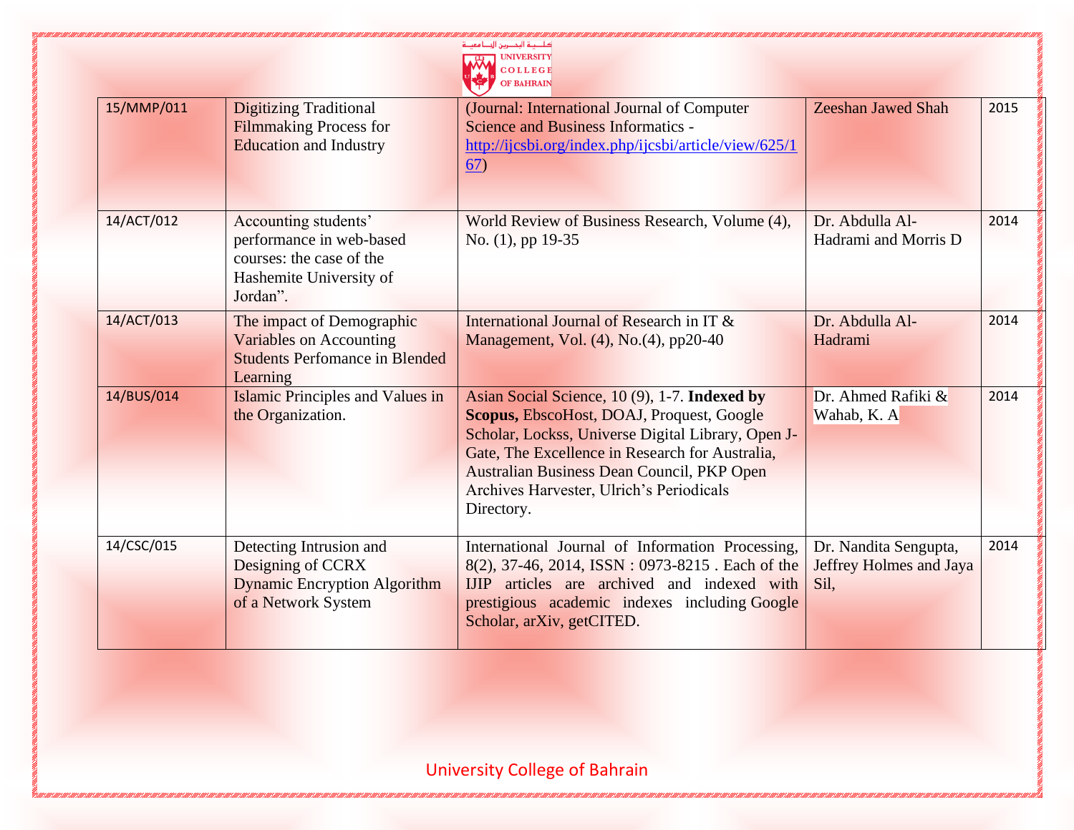|            |                                                                                                                     | كاحصة التحصرين الحصامعة<br>COLLEGE<br>OF BAHRAIN                                                                                                                                                                                                                                                                   |                                                          |      |
|------------|---------------------------------------------------------------------------------------------------------------------|--------------------------------------------------------------------------------------------------------------------------------------------------------------------------------------------------------------------------------------------------------------------------------------------------------------------|----------------------------------------------------------|------|
| 15/MMP/011 | <b>Digitizing Traditional</b><br><b>Filmmaking Process for</b><br><b>Education and Industry</b>                     | (Journal: International Journal of Computer<br><b>Science and Business Informatics -</b><br>http://ijcsbi.org/index.php/ijcsbi/article/view/625/1<br>67)                                                                                                                                                           | <b>Zeeshan Jawed Shah</b>                                | 2015 |
| 14/ACT/012 | Accounting students'<br>performance in web-based<br>courses: the case of the<br>Hashemite University of<br>Jordan". | World Review of Business Research, Volume (4),<br>No. (1), pp 19-35                                                                                                                                                                                                                                                | Dr. Abdulla Al-<br>Hadrami and Morris D                  | 2014 |
| 14/ACT/013 | The impact of Demographic<br><b>Variables on Accounting</b><br><b>Students Perfomance in Blended</b><br>Learning    | International Journal of Research in IT &<br>Management, Vol. (4), No. (4), pp20-40                                                                                                                                                                                                                                | Dr. Abdulla Al-<br>Hadrami                               | 2014 |
| 14/BUS/014 | <b>Islamic Principles and Values in</b><br>the Organization.                                                        | Asian Social Science, 10 (9), 1-7. Indexed by<br><b>Scopus, EbscoHost, DOAJ, Proquest, Google</b><br>Scholar, Lockss, Universe Digital Library, Open J-<br>Gate, The Excellence in Research for Australia,<br>Australian Business Dean Council, PKP Open<br>Archives Harvester, Ulrich's Periodicals<br>Directory. | Dr. Ahmed Rafiki $\&$<br>Wahab, K. A                     | 2014 |
| 14/CSC/015 | Detecting Intrusion and<br>Designing of CCRX<br><b>Dynamic Encryption Algorithm</b><br>of a Network System          | International Journal of Information Processing,<br>8(2), 37-46, 2014, ISSN: 0973-8215. Each of the<br>IJIP articles are archived and indexed with<br>prestigious academic indexes including Google<br>Scholar, arXiv, getCITED.                                                                                   | Dr. Nandita Sengupta,<br>Jeffrey Holmes and Jaya<br>Sil. | 2014 |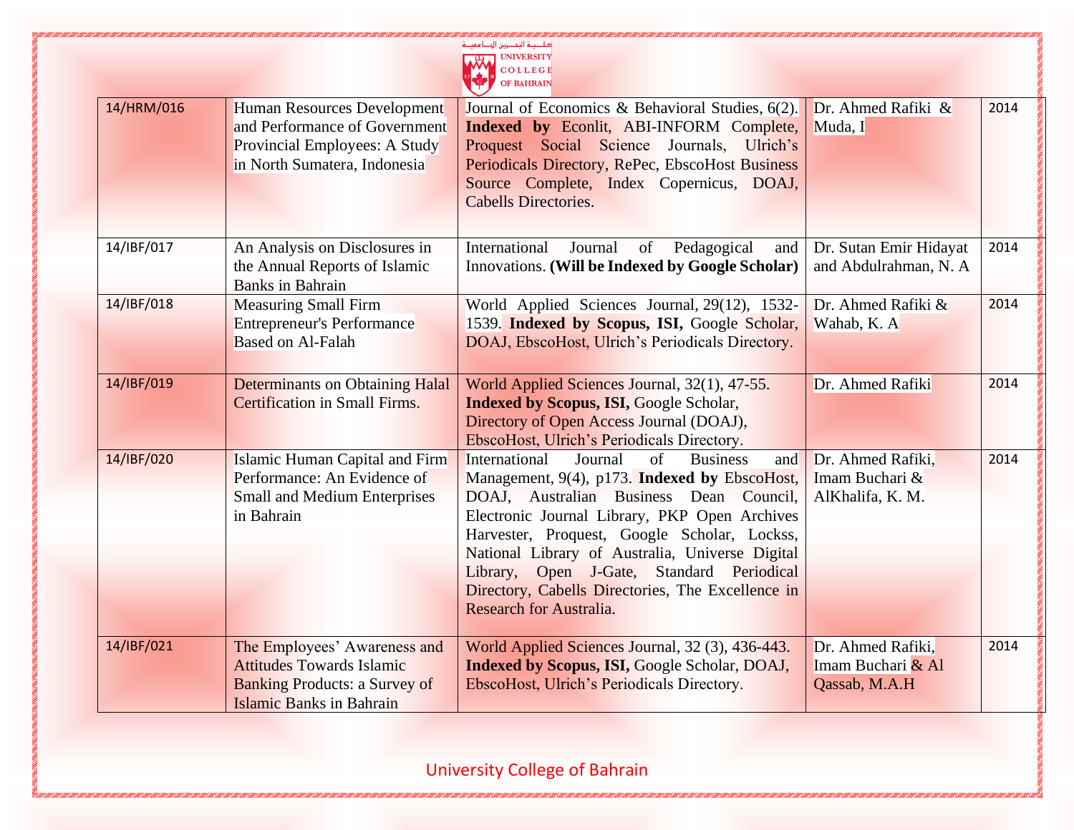|            |                                                                                                                                             | كاحدة البحصرين الجلنا معيا<br><b>OF BAHRAIN</b>                                                                                                                                                                                                                                                                                                                                                                                               |                                                         |      |
|------------|---------------------------------------------------------------------------------------------------------------------------------------------|-----------------------------------------------------------------------------------------------------------------------------------------------------------------------------------------------------------------------------------------------------------------------------------------------------------------------------------------------------------------------------------------------------------------------------------------------|---------------------------------------------------------|------|
| 14/HRM/016 | Human Resources Development<br>and Performance of Government<br>Provincial Employees: A Study<br>in North Sumatera, Indonesia               | Journal of Economics & Behavioral Studies, 6(2).<br>Indexed by Econlit, ABI-INFORM Complete,<br>Proquest Social Science Journals, Ulrich's<br>Periodicals Directory, RePec, EbscoHost Business<br>Source Complete, Index Copernicus, DOAJ,<br><b>Cabells Directories.</b>                                                                                                                                                                     | Dr. Ahmed Rafiki $\&$<br>Muda, I                        | 2014 |
| 14/IBF/017 | An Analysis on Disclosures in<br>the Annual Reports of Islamic<br><b>Banks</b> in Bahrain                                                   | International<br>Pedagogical<br>Journal<br>of<br>and<br>Innovations. (Will be Indexed by Google Scholar)                                                                                                                                                                                                                                                                                                                                      | Dr. Sutan Emir Hidayat<br>and Abdulrahman, N. A         | 2014 |
| 14/IBF/018 | <b>Measuring Small Firm</b><br><b>Entrepreneur's Performance</b><br><b>Based on Al-Falah</b>                                                | World Applied Sciences Journal, 29(12), 1532-<br>1539. Indexed by Scopus, ISI, Google Scholar,<br>DOAJ, EbscoHost, Ulrich's Periodicals Directory.                                                                                                                                                                                                                                                                                            | Dr. Ahmed Rafiki &<br>Wahab, K. A                       | 2014 |
| 14/IBF/019 | <b>Determinants on Obtaining Halal</b><br>Certification in Small Firms.                                                                     | World Applied Sciences Journal, 32(1), 47-55.<br><b>Indexed by Scopus, ISI, Google Scholar,</b><br>Directory of Open Access Journal (DOAJ),<br>EbscoHost, Ulrich's Periodicals Directory.                                                                                                                                                                                                                                                     | Dr. Ahmed Rafiki                                        | 2014 |
| 14/IBF/020 | Islamic Human Capital and Firm<br>Performance: An Evidence of<br><b>Small and Medium Enterprises</b><br>in Bahrain                          | $\sigma$ f<br>International<br>Journal<br><b>Business</b><br>and<br>Management, 9(4), p173. Indexed by EbscoHost,<br>DOAJ, Australian Business Dean Council,<br>Electronic Journal Library, PKP Open Archives<br>Harvester, Proquest, Google Scholar, Lockss,<br>National Library of Australia, Universe Digital<br>Library, Open J-Gate, Standard Periodical<br>Directory, Cabells Directories, The Excellence in<br>Research for Australia. | Dr. Ahmed Rafiki,<br>Imam Buchari &<br>AlKhalifa, K. M. | 2014 |
| 14/IBF/021 | The Employees' Awareness and<br><b>Attitudes Towards Islamic</b><br><b>Banking Products: a Survey of</b><br><b>Islamic Banks in Bahrain</b> | World Applied Sciences Journal, 32 (3), 436-443.<br><b>Indexed by Scopus, ISI, Google Scholar, DOAJ,</b><br>EbscoHost, Ulrich's Periodicals Directory.                                                                                                                                                                                                                                                                                        | Dr. Ahmed Rafiki,<br>Imam Buchari & Al<br>Qassab, M.A.H | 2014 |

7 EUIN FEANT FEANT FEANT FEANT FEANT FEART FEART FEANT FEART FEART FEANT FEANT FEANT FEANT FEANT FEA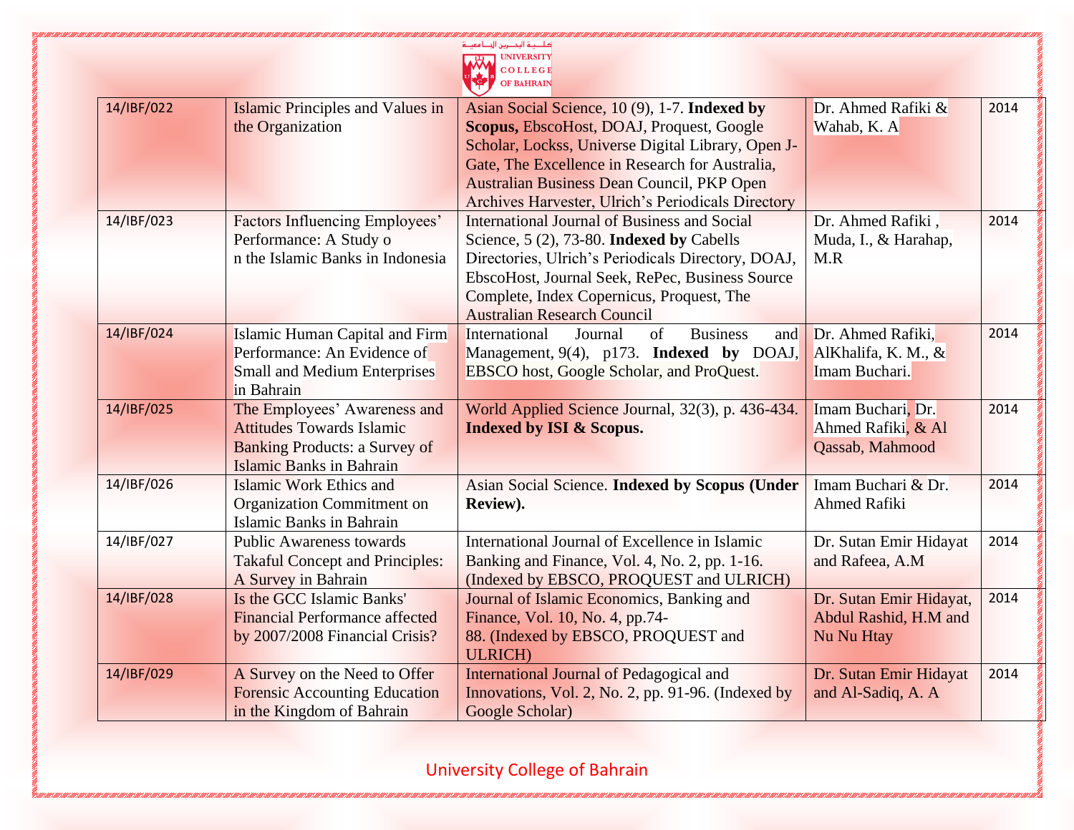|            |                                                                                                                                             | كاحية البحصرين الجنامعي<br><b>UNIVERSITY</b><br><b>OLLEGE</b><br><b>OF BAHRAIN</b>                                                                                                                                                                                                                      |                                                                |      |
|------------|---------------------------------------------------------------------------------------------------------------------------------------------|---------------------------------------------------------------------------------------------------------------------------------------------------------------------------------------------------------------------------------------------------------------------------------------------------------|----------------------------------------------------------------|------|
| 14/IBF/022 | <b>Islamic Principles and Values in</b><br>the Organization                                                                                 | Asian Social Science, 10 (9), 1-7. Indexed by<br>Scopus, EbscoHost, DOAJ, Proquest, Google<br>Scholar, Lockss, Universe Digital Library, Open J-<br>Gate, The Excellence in Research for Australia,<br>Australian Business Dean Council, PKP Open<br>Archives Harvester, Ulrich's Periodicals Directory | Dr. Ahmed Rafiki $\&$<br>Wahab, K. A                           | 2014 |
| 14/IBF/023 | <b>Factors Influencing Employees'</b><br>Performance: A Study o<br>n the Islamic Banks in Indonesia                                         | <b>International Journal of Business and Social</b><br>Science, 5 (2), 73-80. Indexed by Cabells<br>Directories, Ulrich's Periodicals Directory, DOAJ,<br>EbscoHost, Journal Seek, RePec, Business Source<br>Complete, Index Copernicus, Proquest, The<br><b>Australian Research Council</b>            | Dr. Ahmed Rafiki,<br>Muda, I., & Harahap,<br>M.R               | 2014 |
| 14/IBF/024 | Islamic Human Capital and Firm<br>Performance: An Evidence of<br><b>Small and Medium Enterprises</b><br>in Bahrain                          | International<br>of<br><b>Business</b><br>Journal<br>and<br>Management, 9(4), p173. Indexed by DOAJ,<br>EBSCO host, Google Scholar, and ProQuest.                                                                                                                                                       | Dr. Ahmed Rafiki,<br>AlKhalifa, K. M., &<br>Imam Buchari.      | 2014 |
| 14/IBF/025 | The Employees' Awareness and<br><b>Attitudes Towards Islamic</b><br><b>Banking Products: a Survey of</b><br><b>Islamic Banks in Bahrain</b> | World Applied Science Journal, 32(3), p. 436-434.<br><b>Indexed by ISI &amp; Scopus.</b>                                                                                                                                                                                                                | Imam Buchari, Dr.<br>Ahmed Rafiki, & Al<br>Qassab, Mahmood     | 2014 |
| 14/IBF/026 | Islamic Work Ethics and<br>Organization Commitment on<br><b>Islamic Banks in Bahrain</b>                                                    | Asian Social Science. Indexed by Scopus (Under<br>Review).                                                                                                                                                                                                                                              | Imam Buchari & Dr.<br><b>Ahmed Rafiki</b>                      | 2014 |
| 14/IBF/027 | <b>Public Awareness towards</b><br><b>Takaful Concept and Principles:</b><br>A Survey in Bahrain                                            | International Journal of Excellence in Islamic<br>Banking and Finance, Vol. 4, No. 2, pp. 1-16.<br>(Indexed by EBSCO, PROQUEST and ULRICH)                                                                                                                                                              | Dr. Sutan Emir Hidayat<br>and Rafeea, A.M                      | 2014 |
| 14/IBF/028 | Is the GCC Islamic Banks'<br><b>Financial Performance affected</b><br>by 2007/2008 Financial Crisis?                                        | Journal of Islamic Economics, Banking and<br>Finance, Vol. 10, No. 4, pp.74-<br>88. (Indexed by EBSCO, PROQUEST and<br><b>ULRICH)</b>                                                                                                                                                                   | Dr. Sutan Emir Hidayat,<br>Abdul Rashid, H.M and<br>Nu Nu Htay | 2014 |
| 14/IBF/029 | A Survey on the Need to Offer<br><b>Forensic Accounting Education</b><br>in the Kingdom of Bahrain                                          | <b>International Journal of Pedagogical and</b><br>Innovations, Vol. 2, No. 2, pp. 91-96. (Indexed by<br>Google Scholar)                                                                                                                                                                                | Dr. Sutan Emir Hidayat<br>and Al-Sadiq, A. A                   | 2014 |

CARP SANCH AND SANCH AND SANCH AND SANCH AND SANCH AND SANCH AND SANCH AND SANCH AND SANCH AND SANCH AND SANCH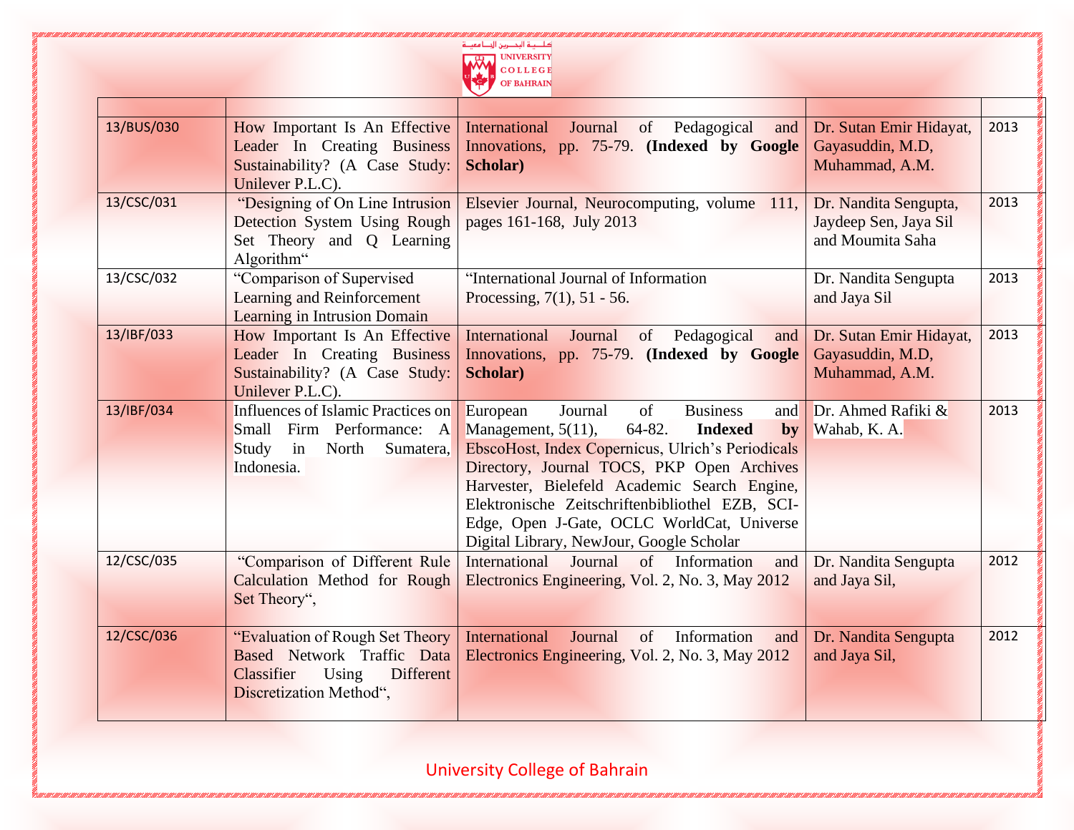

| 13/BUS/030 | How Important Is An Effective<br><b>Leader</b> In Creating Business<br>Sustainability? (A Case Study:<br>Unilever P.L.C).            | International<br>Journal<br>of<br>Pedagogical<br>and<br>Innovations, pp. 75-79. (Indexed by Google<br>Scholar)                                                                                                                                                                                                                                                                                                     | Dr. Sutan Emir Hidayat,<br>Gayasuddin, M.D,<br>Muhammad, A.M.      | 2013 |
|------------|--------------------------------------------------------------------------------------------------------------------------------------|--------------------------------------------------------------------------------------------------------------------------------------------------------------------------------------------------------------------------------------------------------------------------------------------------------------------------------------------------------------------------------------------------------------------|--------------------------------------------------------------------|------|
| 13/CSC/031 | "Designing of On Line Intrusion<br>Detection System Using Rough<br>Set Theory and Q Learning<br>Algorithm"                           | Elsevier Journal, Neurocomputing, volume 111,<br>pages 161-168, July 2013                                                                                                                                                                                                                                                                                                                                          | Dr. Nandita Sengupta,<br>Jaydeep Sen, Jaya Sil<br>and Moumita Saha | 2013 |
| 13/CSC/032 | "Comparison of Supervised<br>Learning and Reinforcement<br><b>Learning in Intrusion Domain</b>                                       | "International Journal of Information<br>Processing, $7(1)$ , $51 - 56$ .                                                                                                                                                                                                                                                                                                                                          | Dr. Nandita Sengupta<br>and Jaya Sil                               | 2013 |
| 13/IBF/033 | How Important Is An Effective<br><b>Leader</b> In Creating Business<br>Sustainability? (A Case Study:<br>Unilever P.L.C).            | International<br>of<br>Pedagogical<br>Journal<br>and<br>Innovations, pp. 75-79. (Indexed by Google<br>Scholar)                                                                                                                                                                                                                                                                                                     | Dr. Sutan Emir Hidayat,<br>Gayasuddin, M.D,<br>Muhammad, A.M.      | 2013 |
| 13/IBF/034 | Influences of Islamic Practices on<br>Small Firm Performance: A<br>North<br>Study<br>in<br>Sumatera,<br>Indonesia.                   | European<br>Journal<br>of<br><b>Business</b><br>and<br>Management, $5(11)$ ,<br>$64 - 82.$<br><b>Indexed</b><br>by<br>EbscoHost, Index Copernicus, Ulrich's Periodicals<br>Directory, Journal TOCS, PKP Open Archives<br>Harvester, Bielefeld Academic Search Engine,<br>Elektronische Zeitschriftenbibliothel EZB, SCI-<br>Edge, Open J-Gate, OCLC WorldCat, Universe<br>Digital Library, NewJour, Google Scholar | Dr. Ahmed Rafiki $\&$<br>Wahab, K. A.                              | 2013 |
| 12/CSC/035 | "Comparison of Different Rule<br>Calculation Method for Rough<br>Set Theory",                                                        | International<br>Journal<br>$\sigma$<br>Information<br>and<br>Electronics Engineering, Vol. 2, No. 3, May 2012                                                                                                                                                                                                                                                                                                     | Dr. Nandita Sengupta<br>and Jaya Sil,                              | 2012 |
| 12/CSC/036 | "Evaluation of Rough Set Theory"<br>Based Network Traffic Data<br><b>Different</b><br>Using<br>Classifier<br>Discretization Method", | <b>International</b><br>of<br>Information<br>Journal<br>and<br>Electronics Engineering, Vol. 2, No. 3, May 2012                                                                                                                                                                                                                                                                                                    | Dr. Nandita Sengupta<br>and Jaya Sil,                              | 2012 |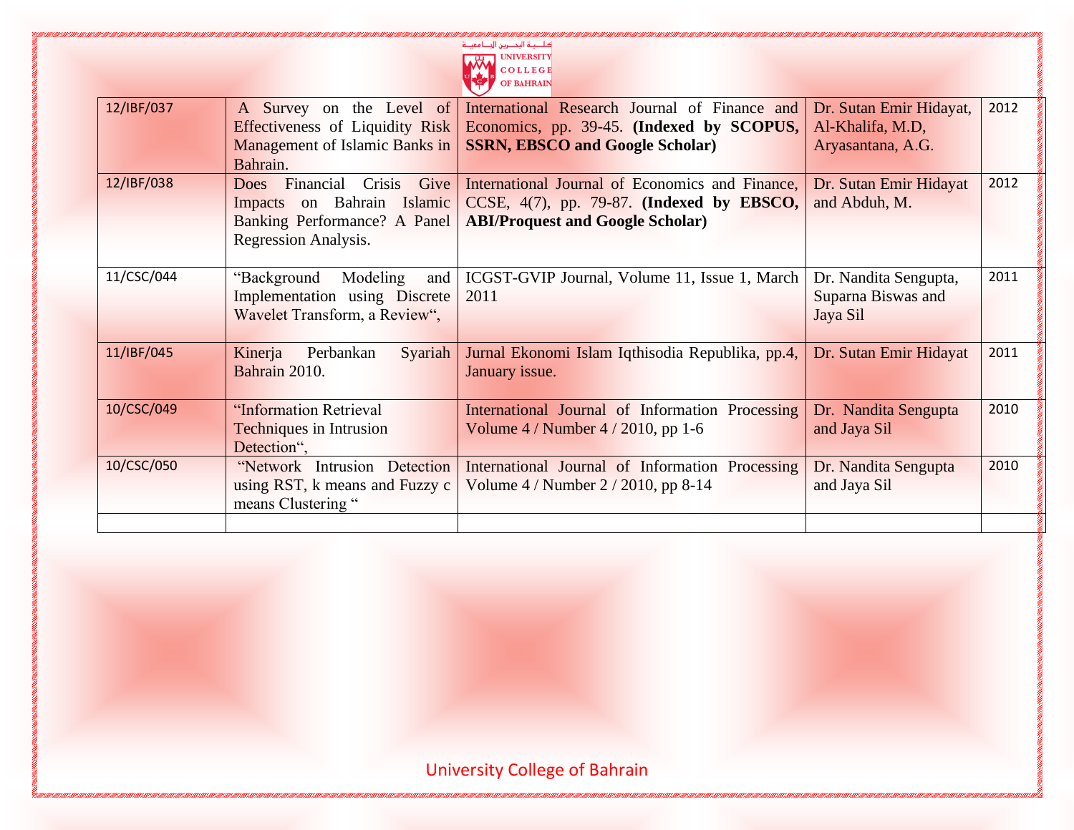| عة التحصريين الم  |  |
|-------------------|--|
| <b>UNIVERSITY</b> |  |
| <b>COLLEGE</b>    |  |
| <b>OF BAHRAIN</b> |  |
|                   |  |

г

| 12/IBF/037 | A Survey on the Level of                   | International Research Journal of Finance and    | Dr. Sutan Emir Hidayat, | 2012 |
|------------|--------------------------------------------|--------------------------------------------------|-------------------------|------|
|            | Effectiveness of Liquidity Risk            | Economics, pp. 39-45. (Indexed by SCOPUS,        | Al-Khalifa, M.D,        |      |
|            | Management of Islamic Banks in             | <b>SSRN, EBSCO and Google Scholar)</b>           | Aryasantana, A.G.       |      |
|            | Bahrain.                                   |                                                  |                         |      |
| 12/IBF/038 | Financial<br>Crisis<br>Give<br><b>Does</b> | International Journal of Economics and Finance,  | Dr. Sutan Emir Hidayat  | 2012 |
|            | Impacts on Bahrain Islamic                 | CCSE, $4(7)$ , pp. 79-87. (Indexed by EBSCO,     | and Abduh, M.           |      |
|            | Banking Performance? A Panel               | <b>ABI/Proquest and Google Scholar)</b>          |                         |      |
|            | Regression Analysis.                       |                                                  |                         |      |
|            |                                            |                                                  |                         |      |
| 11/CSC/044 | "Background<br>Modeling<br>and             | ICGST-GVIP Journal, Volume 11, Issue 1, March    | Dr. Nandita Sengupta,   | 2011 |
|            | Implementation using Discrete              | 2011                                             | Suparna Biswas and      |      |
|            |                                            |                                                  |                         |      |
|            | Wavelet Transform, a Review",              |                                                  | Jaya Sil                |      |
|            |                                            |                                                  |                         |      |
| 11/IBF/045 | Syariah<br>Kinerja<br>Perbankan            | Jurnal Ekonomi Islam Iqthisodia Republika, pp.4, | Dr. Sutan Emir Hidayat  | 2011 |
|            | Bahrain 2010.                              | January issue.                                   |                         |      |
|            |                                            |                                                  |                         |      |
| 10/CSC/049 | "Information Retrieval                     | International Journal of Information Processing  | Dr. Nandita Sengupta    | 2010 |
|            | <b>Techniques in Intrusion</b>             | Volume $4/N$ umber $4/2010$ , pp 1-6             | and Jaya Sil            |      |
|            | Detection",                                |                                                  |                         |      |
| 10/CSC/050 | "Network Intrusion Detection               | International Journal of Information Processing  | Dr. Nandita Sengupta    | 2010 |
|            | using RST, k means and Fuzzy c             | Volume 4 / Number 2 / 2010, pp 8-14              | and Jaya Sil            |      |
|            | means Clustering "                         |                                                  |                         |      |
|            |                                            |                                                  |                         |      |
|            |                                            |                                                  |                         |      |

VI LANDI LANDI LANDI LANDI LANDI LANDI LANDI LANDI LANDI LANDI L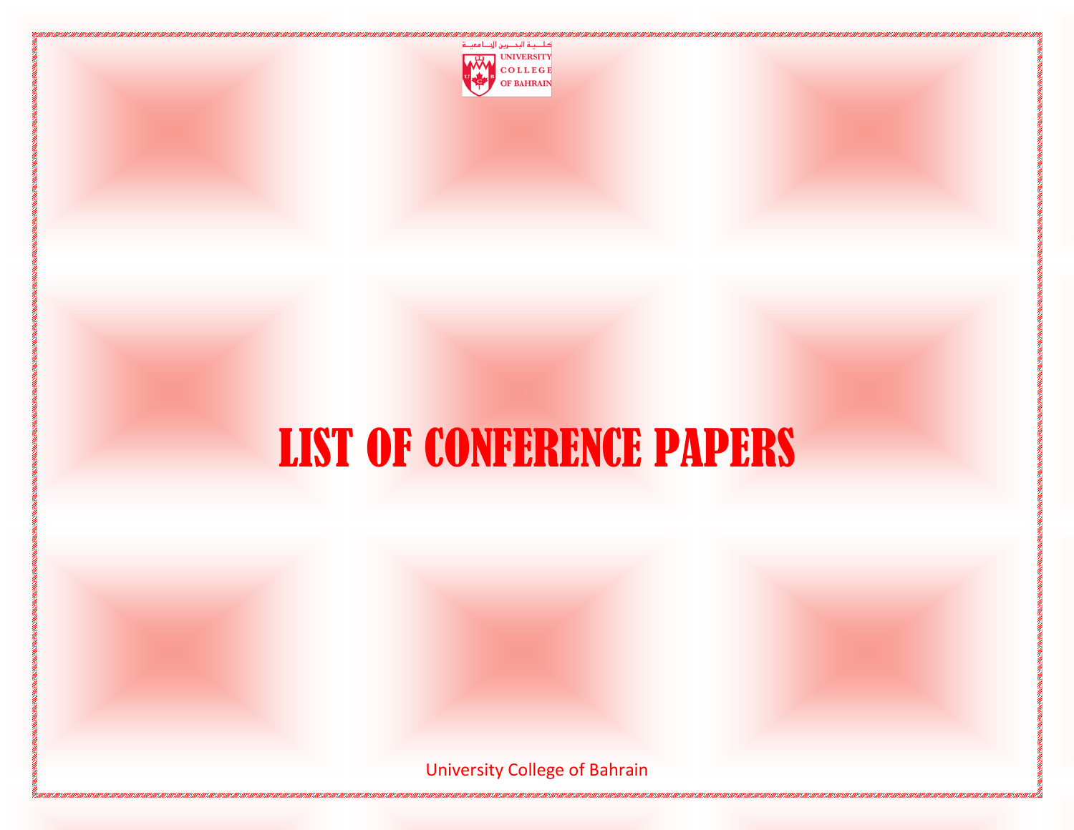

### LIST OF CONFERENCE PAPERS

University College of Bahrain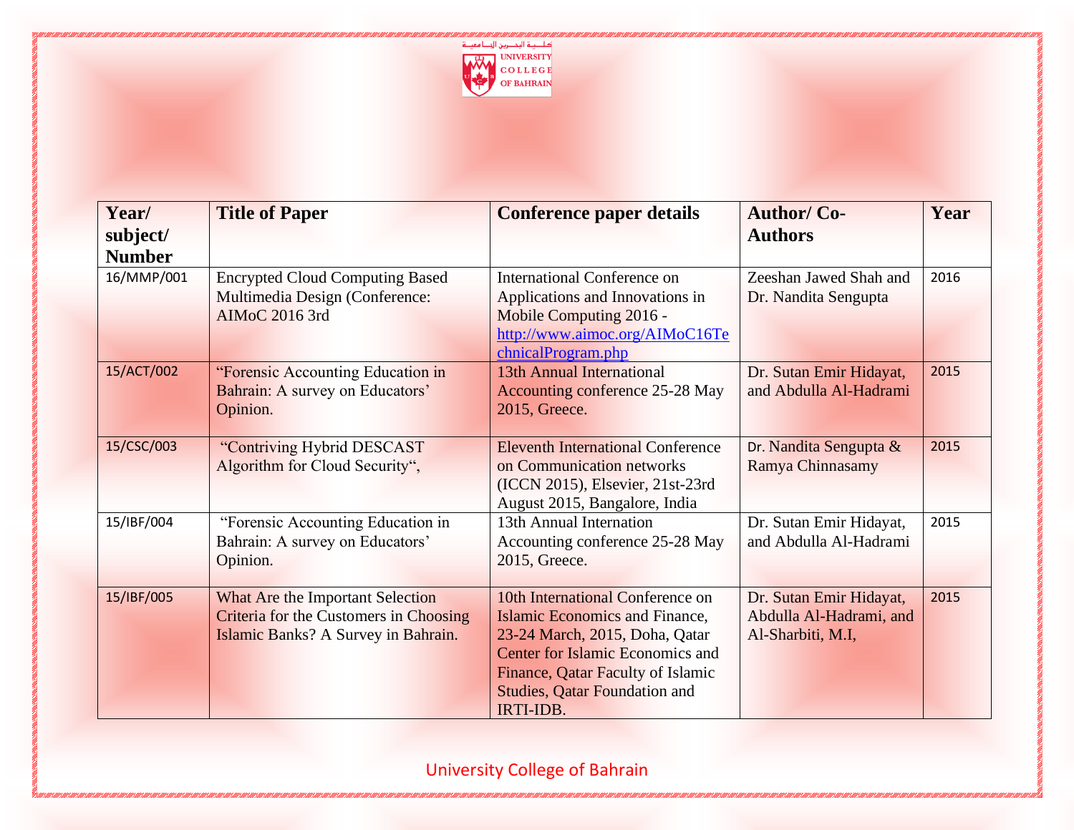

| Year/                     | <b>Title of Paper</b>                                                                                                    | <b>Conference paper details</b>                                                                                                                                                                                                           | <b>Author/Co-</b>                                                       | Year |
|---------------------------|--------------------------------------------------------------------------------------------------------------------------|-------------------------------------------------------------------------------------------------------------------------------------------------------------------------------------------------------------------------------------------|-------------------------------------------------------------------------|------|
| subject/<br><b>Number</b> |                                                                                                                          |                                                                                                                                                                                                                                           | <b>Authors</b>                                                          |      |
| 16/MMP/001                | <b>Encrypted Cloud Computing Based</b><br>Multimedia Design (Conference:<br>AIMoC 2016 3rd                               | <b>International Conference on</b><br>Applications and Innovations in<br>Mobile Computing 2016 -<br>http://www.aimoc.org/AIMoC16Te<br>chnicalProgram.php                                                                                  | Zeeshan Jawed Shah and<br>Dr. Nandita Sengupta                          | 2016 |
| 15/ACT/002                | "Forensic Accounting Education in<br>Bahrain: A survey on Educators'<br>Opinion.                                         | 13th Annual International<br>Accounting conference 25-28 May<br>2015, Greece.                                                                                                                                                             | Dr. Sutan Emir Hidayat,<br>and Abdulla Al-Hadrami                       | 2015 |
| 15/CSC/003                | "Contriving Hybrid DESCAST<br>Algorithm for Cloud Security",                                                             | <b>Eleventh International Conference</b><br>on Communication networks<br>(ICCN 2015), Elsevier, 21st-23rd<br>August 2015, Bangalore, India                                                                                                | Dr. Nandita Sengupta &<br>Ramya Chinnasamy                              | 2015 |
| 15/IBF/004                | "Forensic Accounting Education in<br>Bahrain: A survey on Educators'<br>Opinion.                                         | 13th Annual Internation<br>Accounting conference 25-28 May<br>2015, Greece.                                                                                                                                                               | Dr. Sutan Emir Hidayat,<br>and Abdulla Al-Hadrami                       | 2015 |
| 15/IBF/005                | What Are the Important Selection<br><b>Criteria for the Customers in Choosing</b><br>Islamic Banks? A Survey in Bahrain. | 10th International Conference on<br><b>Islamic Economics and Finance,</b><br>23-24 March, 2015, Doha, Qatar<br>Center for Islamic Economics and<br>Finance, Qatar Faculty of Islamic<br><b>Studies, Qatar Foundation and</b><br>IRTI-IDB. | Dr. Sutan Emir Hidayat,<br>Abdulla Al-Hadrami, and<br>Al-Sharbiti, M.I, | 2015 |

<u>ni di André a Bandara André a Bandara André a Bandara André a Bandara André a Bandara André a Bandara André a</u>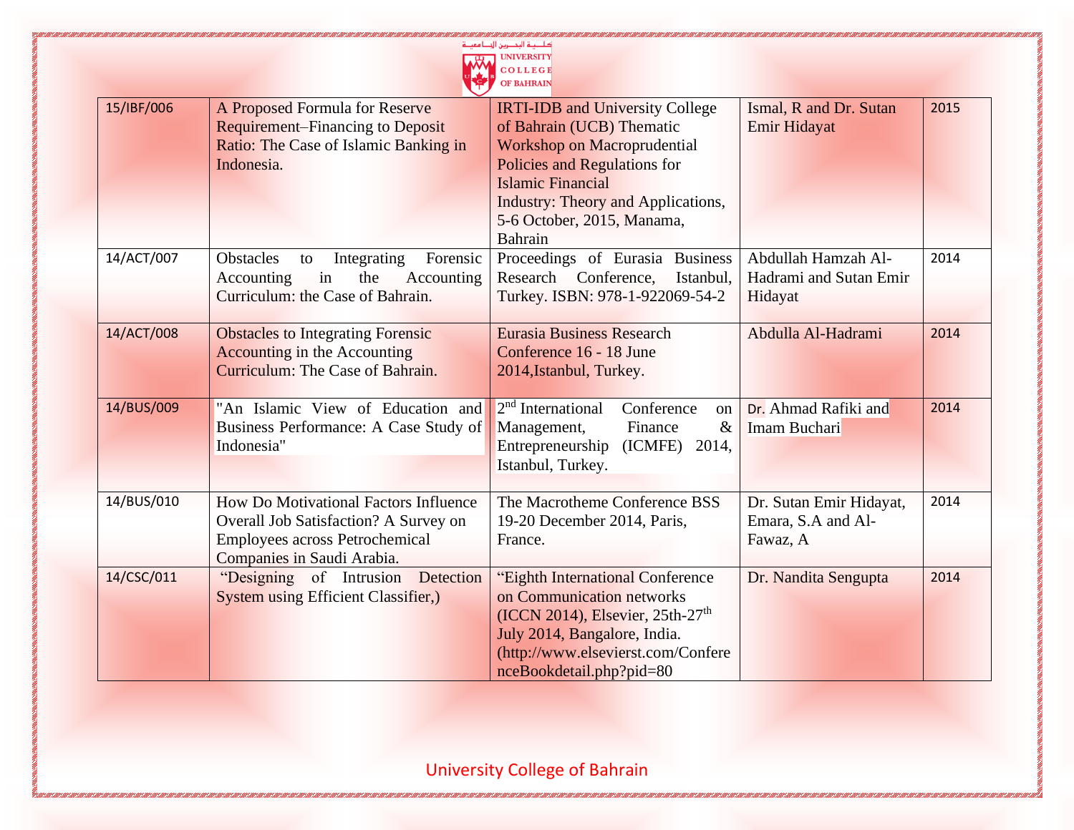|            |                                                                                                                                                       | <b>UNIVERSITY</b><br>OLLEGE<br>OF BAHRAIN                                                                                                                                                                                                            |                                                           |      |
|------------|-------------------------------------------------------------------------------------------------------------------------------------------------------|------------------------------------------------------------------------------------------------------------------------------------------------------------------------------------------------------------------------------------------------------|-----------------------------------------------------------|------|
| 15/IBF/006 | A Proposed Formula for Reserve<br><b>Requirement–Financing to Deposit</b><br>Ratio: The Case of Islamic Banking in<br>Indonesia.                      | <b>IRTI-IDB and University College</b><br>of Bahrain (UCB) Thematic<br>Workshop on Macroprudential<br>Policies and Regulations for<br><b>Islamic Financial</b><br><b>Industry: Theory and Applications,</b><br>5-6 October, 2015, Manama,<br>Bahrain | Ismal, R and Dr. Sutan<br>Emir Hidayat                    | 2015 |
| 14/ACT/007 | <b>Obstacles</b><br>Integrating<br>Forensic<br>to<br>in<br>the<br>Accounting<br>Accounting<br>Curriculum: the Case of Bahrain.                        | Proceedings of Eurasia Business<br>Research Conference,<br>Istanbul,<br>Turkey. ISBN: 978-1-922069-54-2                                                                                                                                              | Abdullah Hamzah Al-<br>Hadrami and Sutan Emir<br>Hidayat  | 2014 |
| 14/ACT/008 | <b>Obstacles to Integrating Forensic</b><br><b>Accounting in the Accounting</b><br>Curriculum: The Case of Bahrain.                                   | <b>Eurasia Business Research</b><br>Conference 16 - 18 June<br>2014, Istanbul, Turkey.                                                                                                                                                               | Abdulla Al-Hadrami                                        | 2014 |
| 14/BUS/009 | "An Islamic View of Education and<br>Business Performance: A Case Study of<br>Indonesia"                                                              | 2 <sup>nd</sup> International<br>Conference<br>on<br>Management,<br>$\&$<br>Finance<br>Entrepreneurship<br>(ICMFE)<br>2014,<br>Istanbul, Turkey.                                                                                                     | Dr. Ahmad Rafiki and<br>Imam Buchari                      | 2014 |
| 14/BUS/010 | How Do Motivational Factors Influence<br>Overall Job Satisfaction? A Survey on<br><b>Employees across Petrochemical</b><br>Companies in Saudi Arabia. | The Macrotheme Conference BSS<br>19-20 December 2014, Paris,<br>France.                                                                                                                                                                              | Dr. Sutan Emir Hidayat,<br>Emara, S.A and Al-<br>Fawaz, A | 2014 |
| 14/CSC/011 | "Designing of Intrusion Detection<br><b>System using Efficient Classifier,)</b>                                                                       | "Eighth International Conference<br>on Communication networks<br>$(ICCN 2014)$ , Elsevier, 25th-27 <sup>th</sup><br>July 2014, Bangalore, India.<br>(http://www.elsevierst.com/Confere<br>nceBookdetail.php?pid=80                                   | Dr. Nandita Sengupta                                      | 2014 |

**Concert Concert State** 

University College of Bahrain

KAN KANA MANGUNA NG KANA NG KANA NG KANA NG KANA NG KANA NG KANA NG KANA NG KANA NG KANA NG KANA NG KANA NG KA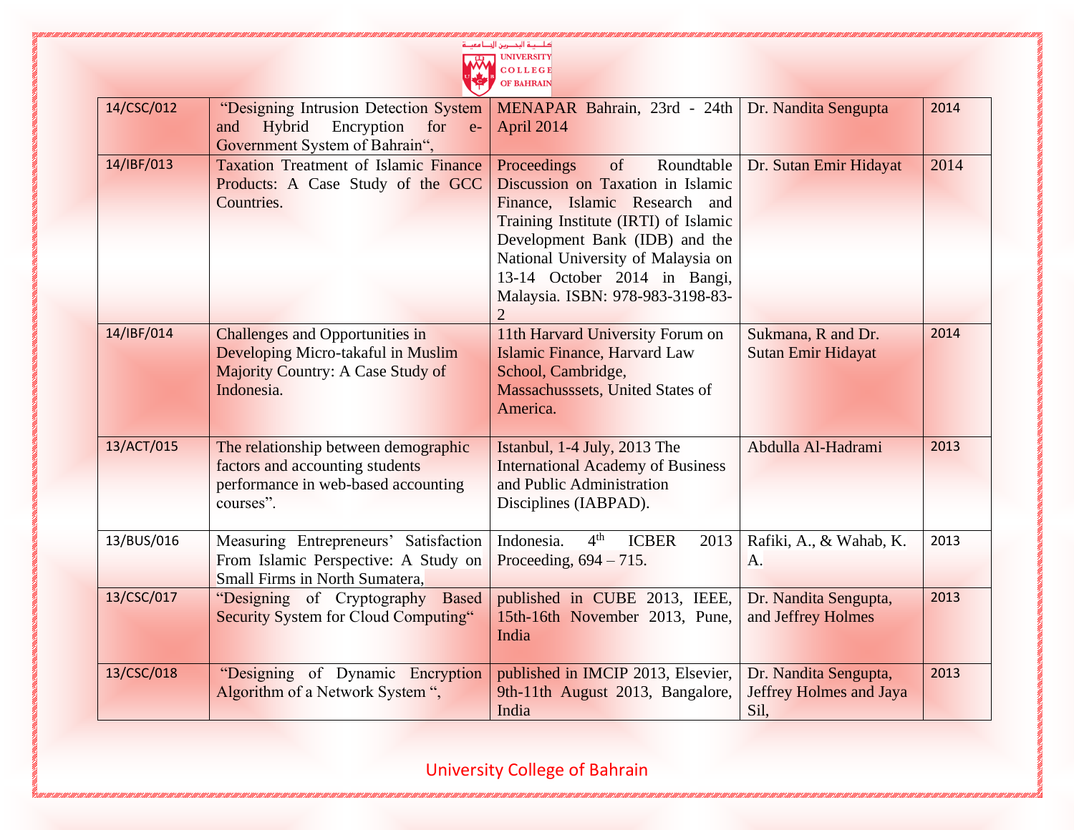| سنريين الم        |  |
|-------------------|--|
| <b>UNIVERSITY</b> |  |
| <b>COLLEGE</b>    |  |
| <b>OF BAHRAIN</b> |  |
|                   |  |

| 14/CSC/012 | "Designing Intrusion Detection System<br>Hybrid<br>Encryption<br>and<br>for<br>$e-$<br>Government System of Bahrain",                  | MENAPAR Bahrain, 23rd - 24th<br>April 2014                                                                                                                                                                                                                                                                  | Dr. Nandita Sengupta                                     | 2014 |
|------------|----------------------------------------------------------------------------------------------------------------------------------------|-------------------------------------------------------------------------------------------------------------------------------------------------------------------------------------------------------------------------------------------------------------------------------------------------------------|----------------------------------------------------------|------|
| 14/IBF/013 | <b>Taxation Treatment of Islamic Finance</b><br>Products: A Case Study of the GCC<br>Countries.                                        | of<br>Roundtable<br>Proceedings<br>Discussion on Taxation in Islamic<br>Finance, Islamic Research and<br>Training Institute (IRTI) of Islamic<br>Development Bank (IDB) and the<br>National University of Malaysia on<br>13-14 October 2014 in Bangi,<br>Malaysia. ISBN: 978-983-3198-83-<br>$\overline{2}$ | Dr. Sutan Emir Hidayat                                   | 2014 |
| 14/IBF/014 | <b>Challenges and Opportunities in</b><br>Developing Micro-takaful in Muslim<br><b>Majority Country: A Case Study of</b><br>Indonesia. | 11th Harvard University Forum on<br><b>Islamic Finance, Harvard Law</b><br>School, Cambridge,<br>Massachusssets, United States of<br>America.                                                                                                                                                               | Sukmana, R and Dr.<br><b>Sutan Emir Hidayat</b>          | 2014 |
| 13/ACT/015 | The relationship between demographic<br>factors and accounting students<br>performance in web-based accounting<br>courses".            | Istanbul, 1-4 July, 2013 The<br><b>International Academy of Business</b><br>and Public Administration<br>Disciplines (IABPAD).                                                                                                                                                                              | Abdulla Al-Hadrami                                       | 2013 |
| 13/BUS/016 | Measuring Entrepreneurs' Satisfaction<br>From Islamic Perspective: A Study on<br>Small Firms in North Sumatera,                        | 4 <sup>th</sup><br>Indonesia.<br><b>ICBER</b><br>2013<br>Proceeding, $694 - 715$ .                                                                                                                                                                                                                          | Rafiki, A., & Wahab, K.<br>A.                            | 2013 |
| 13/CSC/017 | "Designing of Cryptography Based<br><b>Security System for Cloud Computing"</b>                                                        | published in CUBE 2013, IEEE,<br>15th-16th November 2013, Pune,<br>India                                                                                                                                                                                                                                    | Dr. Nandita Sengupta,<br>and Jeffrey Holmes              | 2013 |
| 13/CSC/018 | "Designing of Dynamic Encryption<br>Algorithm of a Network System ",                                                                   | published in IMCIP 2013, Elsevier,<br>9th-11th August 2013, Bangalore,<br>India                                                                                                                                                                                                                             | Dr. Nandita Sengupta,<br>Jeffrey Holmes and Jaya<br>Sil, | 2013 |

II LANDI LANDI LANDI LANDI LANDI LANDI LANDI LA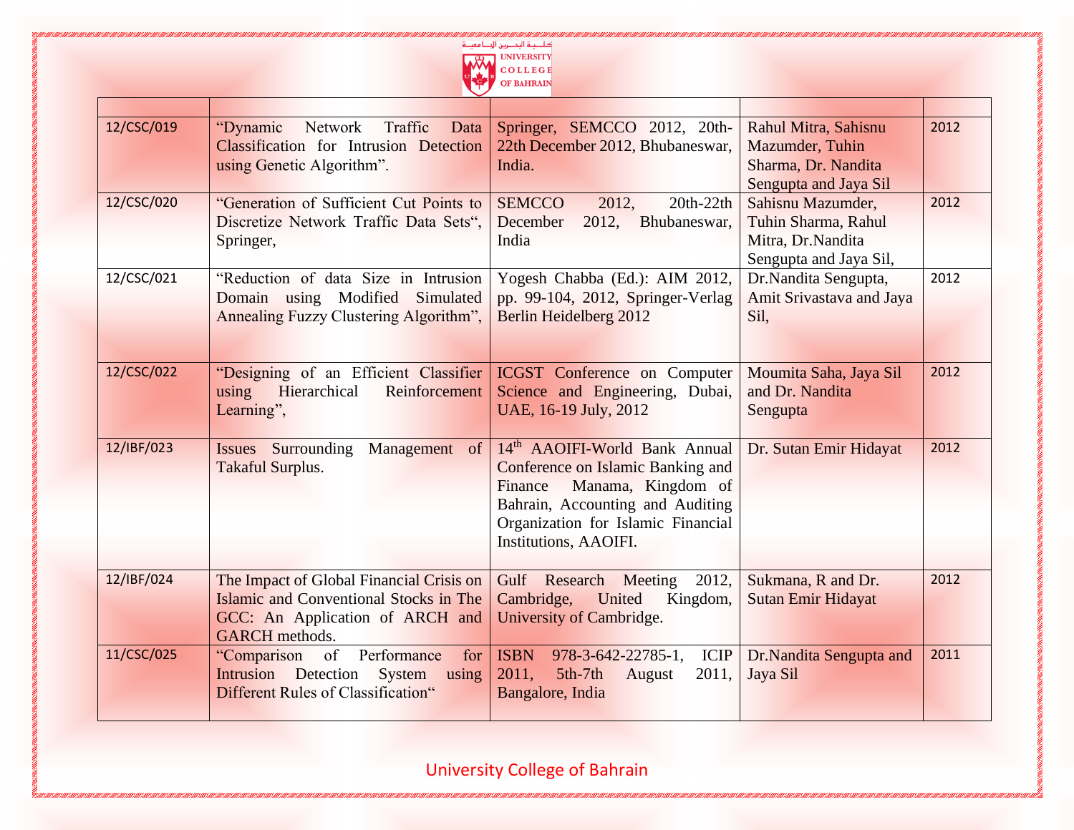

| 12/CSC/019 | Network Traffic<br>"Dynamic<br>Data<br><b>Classification</b> for Intrusion Detection<br>using Genetic Algorithm".                              | Springer, SEMCCO 2012, 20th-<br>22th December 2012, Bhubaneswar,<br>India.                                                                                                                             | Rahul Mitra, Sahisnu<br>Mazumder, Tuhin<br>Sharma, Dr. Nandita<br>Sengupta and Jaya Sil | 2012 |
|------------|------------------------------------------------------------------------------------------------------------------------------------------------|--------------------------------------------------------------------------------------------------------------------------------------------------------------------------------------------------------|-----------------------------------------------------------------------------------------|------|
| 12/CSC/020 | "Generation of Sufficient Cut Points to<br>Discretize Network Traffic Data Sets",<br>Springer,                                                 | <b>SEMCCO</b><br>2012,<br>$20th-22th$<br>2012.<br>December<br>Bhubaneswar,<br>India                                                                                                                    | Sahisnu Mazumder,<br>Tuhin Sharma, Rahul<br>Mitra, Dr.Nandita<br>Sengupta and Jaya Sil, | 2012 |
| 12/CSC/021 | "Reduction of data Size in Intrusion<br>Domain using Modified Simulated<br>Annealing Fuzzy Clustering Algorithm",                              | Yogesh Chabba (Ed.): AIM 2012,<br>pp. 99-104, 2012, Springer-Verlag<br>Berlin Heidelberg 2012                                                                                                          | Dr.Nandita Sengupta,<br>Amit Srivastava and Jaya<br>Sil.                                | 2012 |
| 12/CSC/022 | "Designing of an Efficient Classifier<br>Hierarchical<br>using<br>Reinforcement<br>Learning",                                                  | <b>ICGST</b> Conference on Computer<br>Science and Engineering, Dubai,<br>UAE, 16-19 July, 2012                                                                                                        | Moumita Saha, Jaya Sil<br>and Dr. Nandita<br>Sengupta                                   | 2012 |
| 12/IBF/023 | <b>Issues</b> Surrounding<br>Management<br>of<br><b>Takaful Surplus.</b>                                                                       | 14th AAOIFI-World Bank Annual<br>Conference on Islamic Banking and<br>Finance<br>Manama, Kingdom of<br>Bahrain, Accounting and Auditing<br>Organization for Islamic Financial<br>Institutions, AAOIFI. | Dr. Sutan Emir Hidayat                                                                  | 2012 |
| 12/IBF/024 | The Impact of Global Financial Crisis on<br>Islamic and Conventional Stocks in The<br>GCC: An Application of ARCH and<br><b>GARCH</b> methods. | Gulf Research Meeting<br>2012,<br>United<br>Cambridge,<br>Kingdom,<br>University of Cambridge.                                                                                                         | Sukmana, R and Dr.<br><b>Sutan Emir Hidayat</b>                                         | 2012 |
| 11/CSC/025 | "Comparison<br>of<br>Performance<br>for<br><b>Intrusion</b> Detection<br>System<br>using<br>Different Rules of Classification"                 | <b>ISBN</b><br>978-3-642-22785-1,<br><b>ICIP</b><br>2011,<br>$5th-7th$<br>2011,<br>August<br>Bangalore, India                                                                                          | Dr.Nandita Sengupta and<br>Jaya Sil                                                     | 2011 |

KAN KENTENTATI YANG KENTENTATI KENTENTATI YANG KENTENTATI KENTENTATI YANG KENTENTATI YANG KENTENTATI D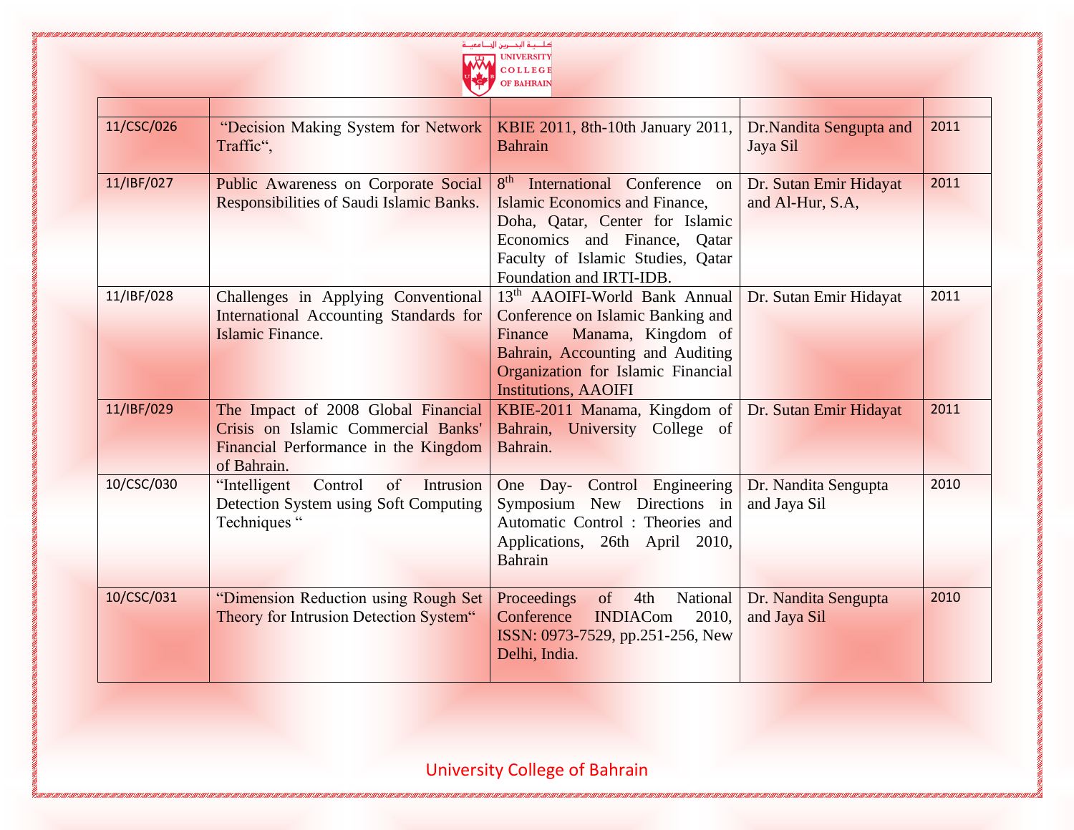

| 11/CSC/026 | "Decision Making System for Network<br>Traffic",                                                                                  | KBIE 2011, 8th-10th January 2011,<br><b>Bahrain</b>                                                                                                                                                                                  | Dr.Nandita Sengupta and<br>Jaya Sil        | 2011 |
|------------|-----------------------------------------------------------------------------------------------------------------------------------|--------------------------------------------------------------------------------------------------------------------------------------------------------------------------------------------------------------------------------------|--------------------------------------------|------|
| 11/IBF/027 | <b>Public Awareness on Corporate Social</b><br>Responsibilities of Saudi Islamic Banks.                                           | 8 <sup>th</sup><br>International Conference<br>$\alpha$<br><b>Islamic Economics and Finance,</b><br>Doha, Qatar, Center for Islamic<br>Economics and Finance, Qatar<br>Faculty of Islamic Studies, Qatar<br>Foundation and IRTI-IDB. | Dr. Sutan Emir Hidayat<br>and Al-Hur, S.A, | 2011 |
| 11/IBF/028 | Challenges in Applying Conventional<br>International Accounting Standards for<br>Islamic Finance.                                 | 13 <sup>th</sup> AAOIFI-World Bank Annual<br>Conference on Islamic Banking and<br>Manama, Kingdom of<br>Finance<br>Bahrain, Accounting and Auditing<br>Organization for Islamic Financial<br><b>Institutions, AAOIFI</b>             | Dr. Sutan Emir Hidayat                     | 2011 |
| 11/IBF/029 | The Impact of 2008 Global Financial<br>Crisis on Islamic Commercial Banks'<br>Financial Performance in the Kingdom<br>of Bahrain. | KBIE-2011 Manama, Kingdom of<br>Bahrain, University College of<br>Bahrain.                                                                                                                                                           | Dr. Sutan Emir Hidayat                     | 2011 |
| 10/CSC/030 | "Intelligent<br>Control<br>of<br>Intrusion<br>Detection System using Soft Computing<br>Techniques "                               | One Day- Control Engineering<br>Symposium New Directions in<br>Automatic Control: Theories and<br>Applications, 26th April 2010,<br>Bahrain                                                                                          | Dr. Nandita Sengupta<br>and Jaya Sil       | 2010 |
| 10/CSC/031 | "Dimension Reduction using Rough Set<br>Theory for Intrusion Detection System"                                                    | Proceedings<br>National<br>$\circ$ f<br>4th<br>Conference<br><b>INDIACom</b><br>2010,<br>ISSN: 0973-7529, pp.251-256, New<br>Delhi, India.                                                                                           | Dr. Nandita Sengupta<br>and Jaya Sil       | 2010 |

<u> 1986 - Anii 1986 Anii 1986 Anii 1986 Anii 1986 Anii 1986 Anii 1986 Anii 1986 Anii 1986 Anii 1986 Anii 1986 An</u>

7,000 000 7,000 7,000 7,000 7,000 7,000 7,000 7,000 7,000 7,000 7,000 7,000 7,000 7,000 7,000 7,000 7,000 7,000 7,000 7,000 7,000 7,000 7,000 7,000 7,000 7,000 7,000 7,000 7,000 7,000 7,000 7,000 7,000 7,000 7,000 7,000 7,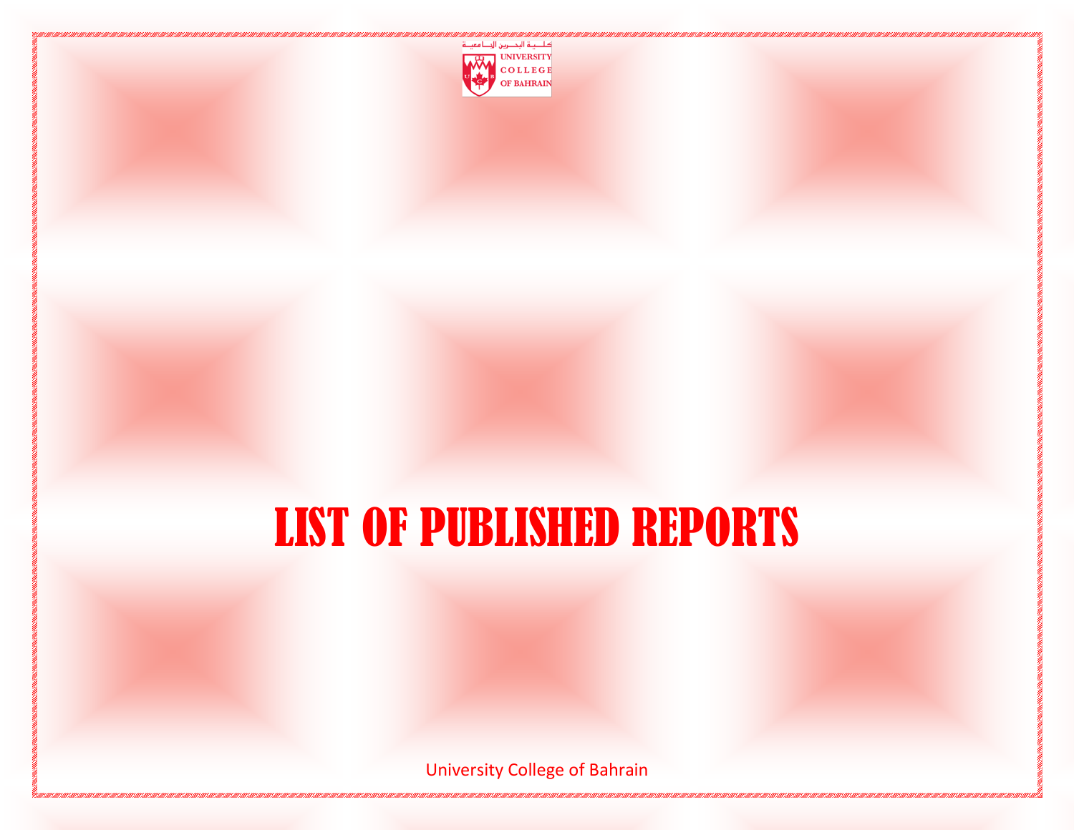

### LIST OF PUBLISHED REPORTS

University College of Bahrain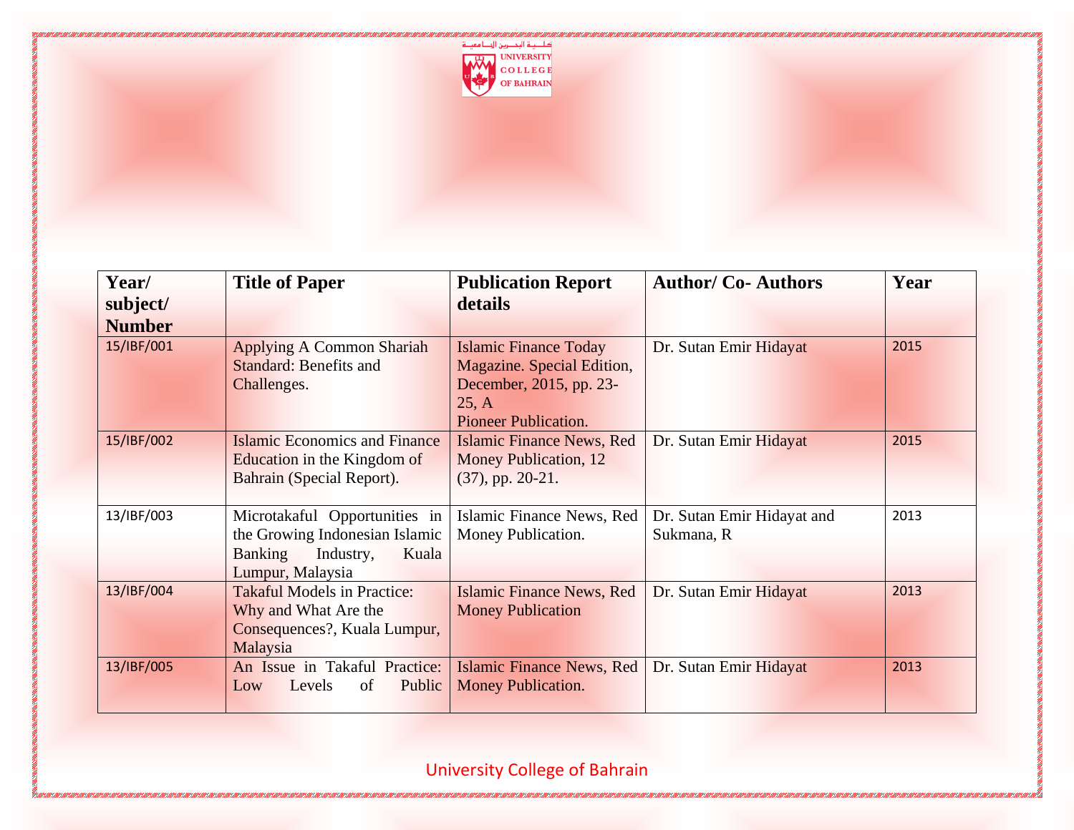

| Year/         | <b>Title of Paper</b>                                                                                                | <b>Publication Report</b>                                                                                                     | <b>Author/ Co- Authors</b>               | Year |
|---------------|----------------------------------------------------------------------------------------------------------------------|-------------------------------------------------------------------------------------------------------------------------------|------------------------------------------|------|
| subject/      |                                                                                                                      | details                                                                                                                       |                                          |      |
| <b>Number</b> |                                                                                                                      |                                                                                                                               |                                          |      |
| 15/IBF/001    | <b>Applying A Common Shariah</b><br><b>Standard: Benefits and</b><br>Challenges.                                     | <b>Islamic Finance Today</b><br>Magazine. Special Edition,<br>December, 2015, pp. 23-<br>25, A<br><b>Pioneer Publication.</b> | Dr. Sutan Emir Hidayat                   | 2015 |
| 15/IBF/002    | <b>Islamic Economics and Finance</b><br>Education in the Kingdom of<br>Bahrain (Special Report).                     | Islamic Finance News, Red<br>Money Publication, 12<br>$(37)$ , pp. 20-21.                                                     | Dr. Sutan Emir Hidayat                   | 2015 |
| 13/IBF/003    | Microtakaful Opportunities in<br>the Growing Indonesian Islamic<br>Banking<br>Industry,<br>Kuala<br>Lumpur, Malaysia | Islamic Finance News, Red<br>Money Publication.                                                                               | Dr. Sutan Emir Hidayat and<br>Sukmana, R | 2013 |
| 13/IBF/004    | <b>Takaful Models in Practice:</b><br>Why and What Are the<br>Consequences?, Kuala Lumpur,<br>Malaysia               | Islamic Finance News, Red<br><b>Money Publication</b>                                                                         | Dr. Sutan Emir Hidayat                   | 2013 |
| 13/IBF/005    | An Issue in Takaful Practice:<br>Public<br>Levels<br>of<br>Low                                                       | <b>Islamic Finance News, Red</b><br><b>Money Publication.</b>                                                                 | Dr. Sutan Emir Hidayat                   | 2013 |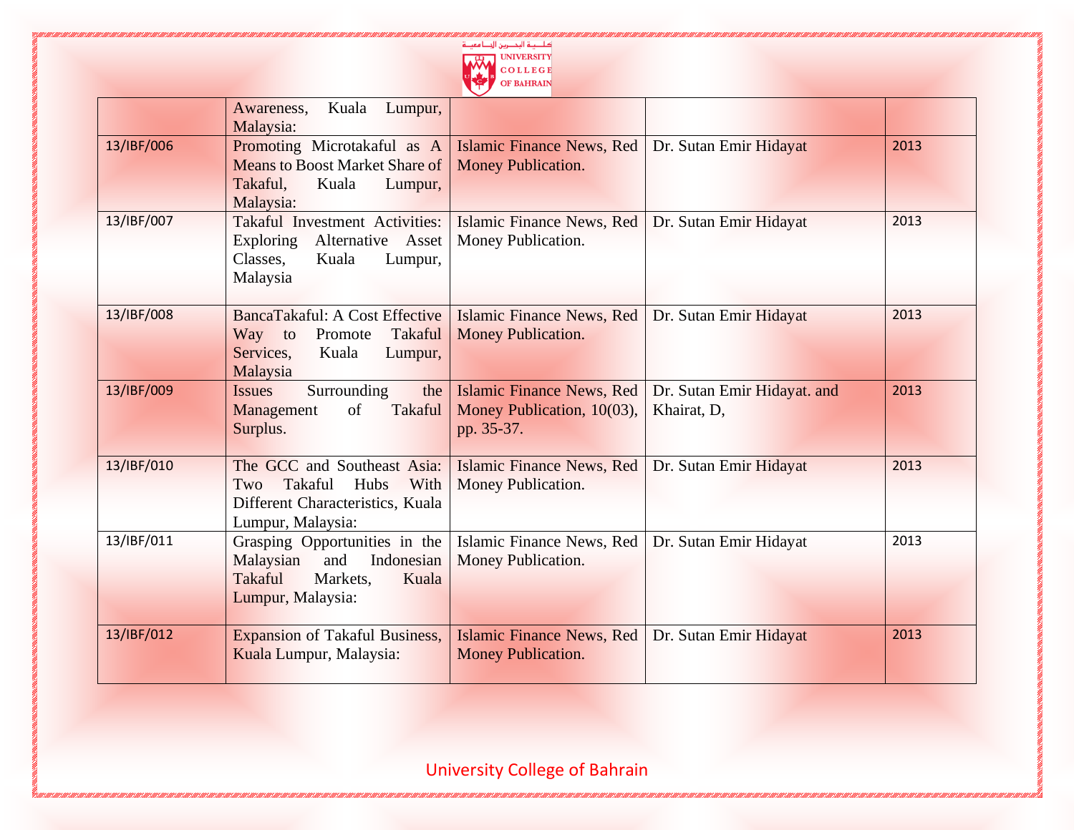

|            | Kuala<br>Awareness,<br>Lumpur,<br>Malaysia:                                                                            |                                                                              |                                            |      |
|------------|------------------------------------------------------------------------------------------------------------------------|------------------------------------------------------------------------------|--------------------------------------------|------|
| 13/IBF/006 | Promoting Microtakaful as A<br><b>Means to Boost Market Share of</b><br>Takaful.<br>Kuala<br>Lumpur,<br>Malaysia:      | Islamic Finance News, Red<br>Money Publication.                              | Dr. Sutan Emir Hidayat                     | 2013 |
| 13/IBF/007 | Takaful Investment Activities:<br>Alternative Asset<br><b>Exploring</b><br>Classes,<br>Kuala<br>Lumpur,<br>Malaysia    | Islamic Finance News, Red<br>Money Publication.                              | Dr. Sutan Emir Hidayat                     | 2013 |
| 13/IBF/008 | BancaTakaful: A Cost Effective<br>Takaful<br>Promote<br>Way<br>to<br>Services,<br>Kuala<br>Lumpur,<br>Malaysia         | Islamic Finance News, Red<br>Money Publication.                              | Dr. Sutan Emir Hidayat                     | 2013 |
| 13/IBF/009 | Surrounding<br>the<br><b>Issues</b><br>of<br><b>Takaful</b><br>Management<br>Surplus.                                  | <b>Islamic Finance News, Red</b><br>Money Publication, 10(03),<br>pp. 35-37. | Dr. Sutan Emir Hidayat. and<br>Khairat, D. | 2013 |
| 13/IBF/010 | The GCC and Southeast Asia:<br>Takaful<br>With<br>Hubs<br>Two<br>Different Characteristics, Kuala<br>Lumpur, Malaysia: | Islamic Finance News, Red<br>Money Publication.                              | Dr. Sutan Emir Hidayat                     | 2013 |
| 13/IBF/011 | Grasping Opportunities in the<br>Indonesian<br>Malaysian<br>and<br>Takaful<br>Markets.<br>Kuala<br>Lumpur, Malaysia:   | Islamic Finance News, Red<br>Money Publication.                              | Dr. Sutan Emir Hidayat                     | 2013 |
| 13/IBF/012 | <b>Expansion of Takaful Business,</b><br>Kuala Lumpur, Malaysia:                                                       | <b>Islamic Finance News, Red</b><br><b>Money Publication.</b>                | Dr. Sutan Emir Hidayat                     | 2013 |

and a control of the Control of Control of Control of Control of Control of Control of Control of Control of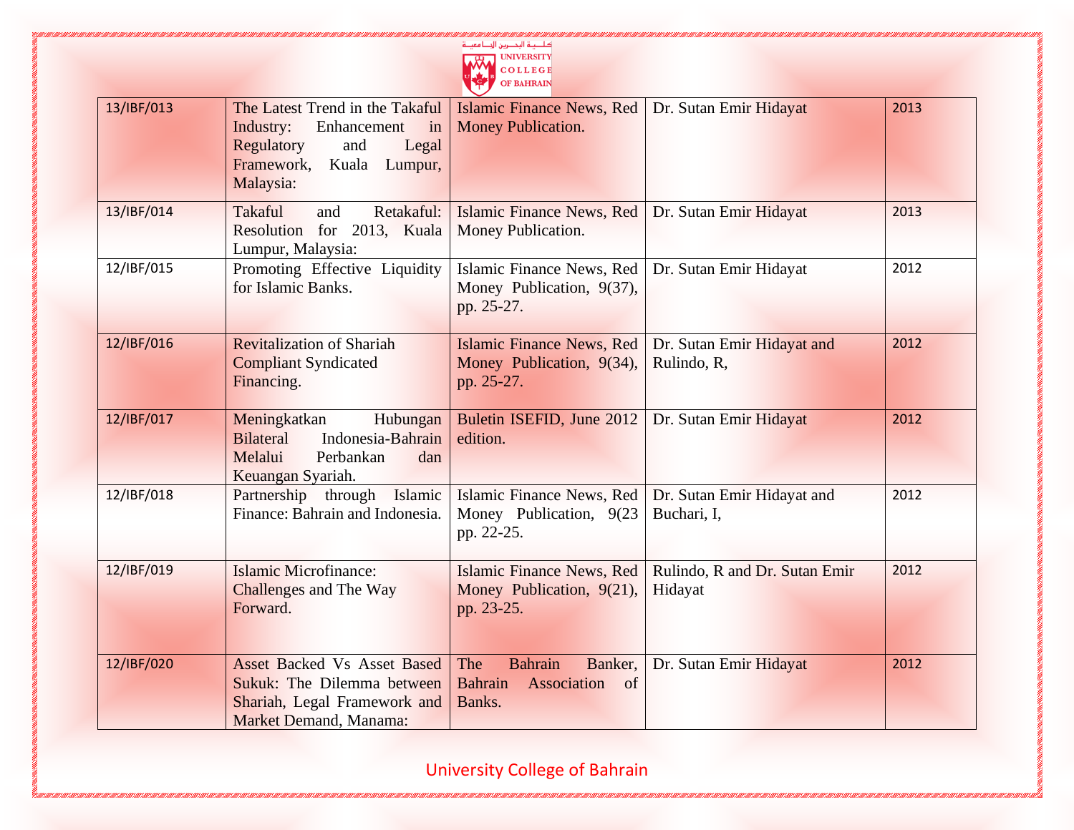|            |                                                                                                                                                | UNIVERSITY<br>COLLEGE<br><b>OF BAHRAIN</b>                                            |                                           |      |
|------------|------------------------------------------------------------------------------------------------------------------------------------------------|---------------------------------------------------------------------------------------|-------------------------------------------|------|
| 13/IBF/013 | The Latest Trend in the Takaful<br>Enhancement<br>Industry:<br>in<br>Regulatory<br>and<br>Legal<br>Framework,<br>Kuala<br>Lumpur,<br>Malaysia: | <b>Islamic Finance News, Red</b><br>Money Publication.                                | Dr. Sutan Emir Hidayat                    | 2013 |
| 13/IBF/014 | <b>Takaful</b><br>Retakaful:<br>and<br>Resolution for 2013, Kuala<br>Lumpur, Malaysia:                                                         | Islamic Finance News, Red<br>Money Publication.                                       | Dr. Sutan Emir Hidayat                    | 2013 |
| 12/IBF/015 | Promoting Effective Liquidity<br>for Islamic Banks.                                                                                            | Islamic Finance News, Red<br>Money Publication, 9(37),<br>pp. 25-27.                  | Dr. Sutan Emir Hidayat                    | 2012 |
| 12/IBF/016 | <b>Revitalization of Shariah</b><br><b>Compliant Syndicated</b><br>Financing.                                                                  | Islamic Finance News, Red<br>Money Publication, 9(34),<br>pp. 25-27.                  | Dr. Sutan Emir Hidayat and<br>Rulindo, R, | 2012 |
| 12/IBF/017 | Meningkatkan<br>Hubungan<br><b>Bilateral</b><br>Indonesia-Bahrain<br>Melalui<br>Perbankan<br>dan<br>Keuangan Syariah.                          | Buletin ISEFID, June 2012<br>edition.                                                 | Dr. Sutan Emir Hidayat                    | 2012 |
| 12/IBF/018 | Partnership through Islamic<br>Finance: Bahrain and Indonesia.                                                                                 | Islamic Finance News, Red<br>Money Publication, 9(23)<br>pp. 22-25.                   | Dr. Sutan Emir Hidayat and<br>Buchari, I, | 2012 |
| 12/IBF/019 | <b>Islamic Microfinance:</b><br><b>Challenges and The Way</b><br>Forward.                                                                      | Islamic Finance News, Red<br>Money Publication, 9(21),<br>pp. 23-25.                  | Rulindo, R and Dr. Sutan Emir<br>Hidayat  | 2012 |
| 12/IBF/020 | <b>Asset Backed Vs Asset Based</b><br><b>Sukuk:</b> The Dilemma between<br>Shariah, Legal Framework and<br><b>Market Demand, Manama:</b>       | The<br>Bahrain<br>Banker,<br><b>Bahrain</b><br>Association<br><sub>of</sub><br>Banks. | Dr. Sutan Emir Hidayat                    | 2012 |

 $-1 - 10$ 

University College of Bahrain

"I GIOTTE GIOTTE GIOTTE GIOTTE GIOTTE GIOTTE GIOTTE GIOTTE GIOTTE GIOTTE GIOTTE GIOTTE GIOTTE GIOTTE GIOTTE GI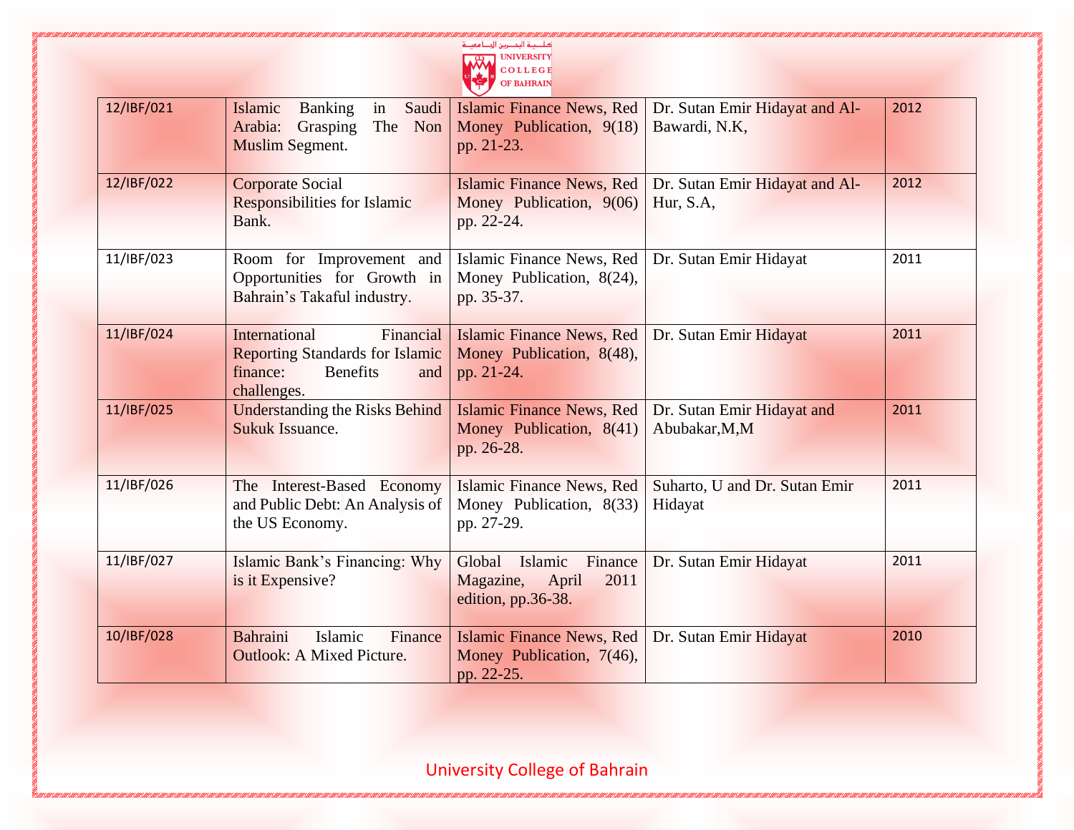|            |                                                                                                                                  | كاحية البحصرين الجبا معينة<br>OLLEGE<br>OF BAHRAIN                            |                                                 |      |
|------------|----------------------------------------------------------------------------------------------------------------------------------|-------------------------------------------------------------------------------|-------------------------------------------------|------|
| 12/IBF/021 | Islamic<br><b>Banking</b><br>in<br>Saudi<br>Arabia:<br>The Non<br>Grasping<br><b>Muslim Segment.</b>                             | Islamic Finance News, Red<br>Money Publication, 9(18)<br>pp. 21-23.           | Dr. Sutan Emir Hidayat and Al-<br>Bawardi, N.K, | 2012 |
| 12/IBF/022 | <b>Corporate Social</b><br><b>Responsibilities for Islamic</b><br>Bank.                                                          | <b>Islamic Finance News, Red</b><br>Money Publication, 9(06)<br>pp. 22-24.    | Dr. Sutan Emir Hidayat and Al-<br>Hur, S.A,     | 2012 |
| 11/IBF/023 | Room for Improvement and<br>Opportunities for Growth in<br>Bahrain's Takaful industry.                                           | Islamic Finance News, Red<br>Money Publication, 8(24),<br>pp. 35-37.          | Dr. Sutan Emir Hidayat                          | 2011 |
| 11/IBF/024 | Financial<br><b>International</b><br><b>Reporting Standards for Islamic</b><br>finance:<br><b>Benefits</b><br>and<br>challenges. | <b>Islamic Finance News, Red</b><br>Money Publication, 8(48),<br>pp. 21-24.   | Dr. Sutan Emir Hidayat                          | 2011 |
| 11/IBF/025 | <b>Understanding the Risks Behind</b><br>Sukuk Issuance.                                                                         | <b>Islamic Finance News, Red</b><br>Money Publication, 8(41)<br>pp. 26-28.    | Dr. Sutan Emir Hidayat and<br>Abubakar, M, M    | 2011 |
| 11/IBF/026 | The Interest-Based Economy<br>and Public Debt: An Analysis of<br>the US Economy.                                                 | Islamic Finance News, Red<br>Money Publication, 8(33)<br>pp. 27-29.           | Suharto, U and Dr. Sutan Emir<br>Hidayat        | 2011 |
| 11/IBF/027 | Islamic Bank's Financing: Why<br>is it Expensive?                                                                                | Global Islamic<br>Finance<br>Magazine,<br>April<br>2011<br>edition, pp.36-38. | Dr. Sutan Emir Hidayat                          | 2011 |
| 10/IBF/028 | Bahraini<br>Islamic<br>Finance<br><b>Outlook: A Mixed Picture.</b>                                                               | <b>Islamic Finance News, Red</b><br>Money Publication, 7(46),<br>pp. 22-25.   | Dr. Sutan Emir Hidayat                          | 2010 |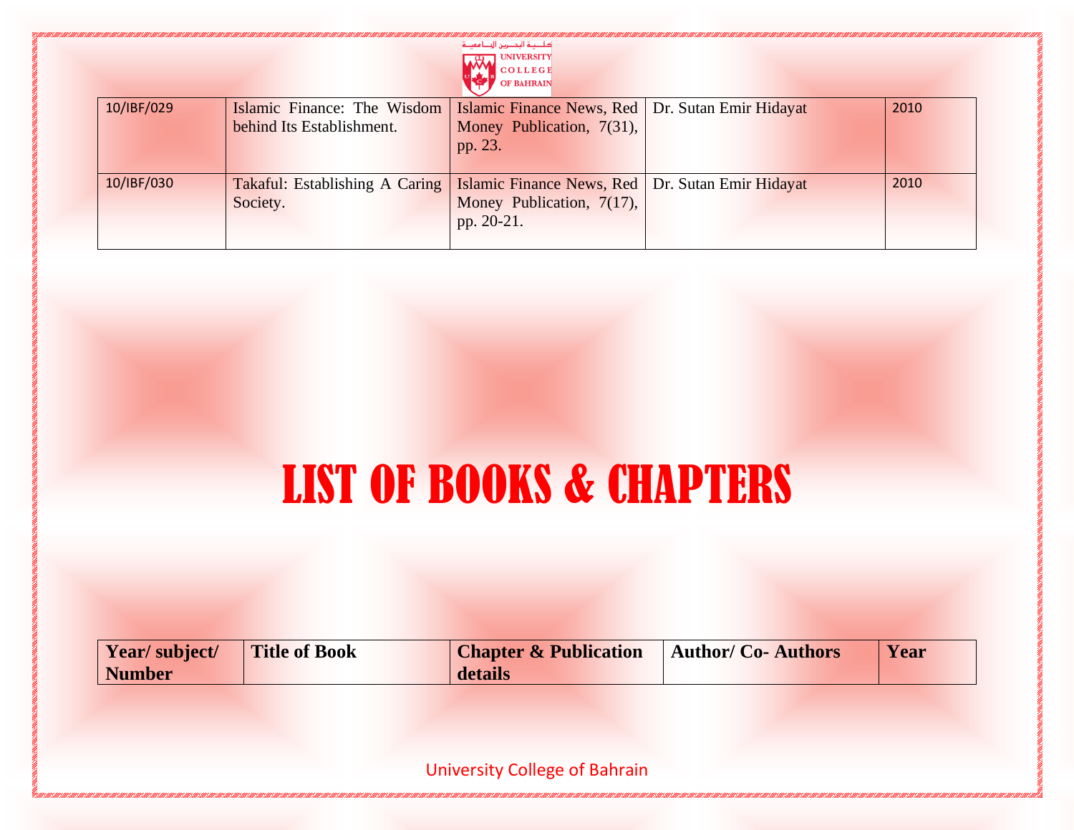|            |                                                          | كالصية البحصرين الجلنا معيلة<br><b>UNIVERSITY</b><br><b>COLLEGE</b><br><b>OF BAHRAIN</b>      |      |
|------------|----------------------------------------------------------|-----------------------------------------------------------------------------------------------|------|
| 10/IBF/029 | Islamic Finance: The Wisdom<br>behind Its Establishment. | Islamic Finance News, Red   Dr. Sutan Emir Hidayat<br>Money Publication, 7(31),<br>pp. 23.    | 2010 |
| 10/IBF/030 | <b>Takaful:</b> Establishing A Caring<br>Society.        | Islamic Finance News, Red   Dr. Sutan Emir Hidayat<br>Money Publication, 7(17),<br>pp. 20-21. | 2010 |

## LIST OF BOOKS & CHAPTERS

| Year/subject/ | <b>Title of Book</b> | <b>Chapter &amp; Publication</b> | <b>Author/Co-Authors</b> | Year |
|---------------|----------------------|----------------------------------|--------------------------|------|
| Number        |                      | details                          |                          |      |

University College of Bahrain